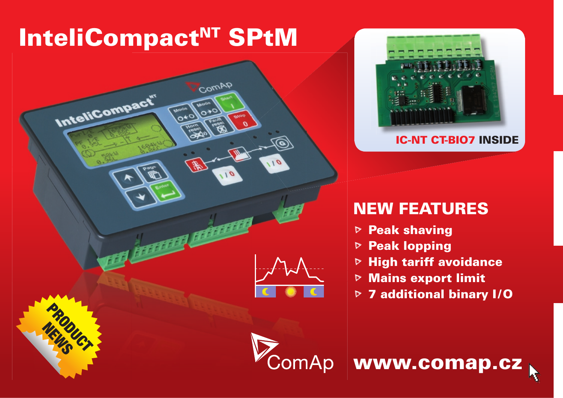# InteliCompact<sup>NT</sup> SPtM





## NEW FEATURES

- $\triangleright$  Peak shaving
- **▷ Peak lopping**
- $\triangleright$  High tariff avoidance
- $\triangleright$  Mains export limit
- **▷ 7 additional binary I/O**